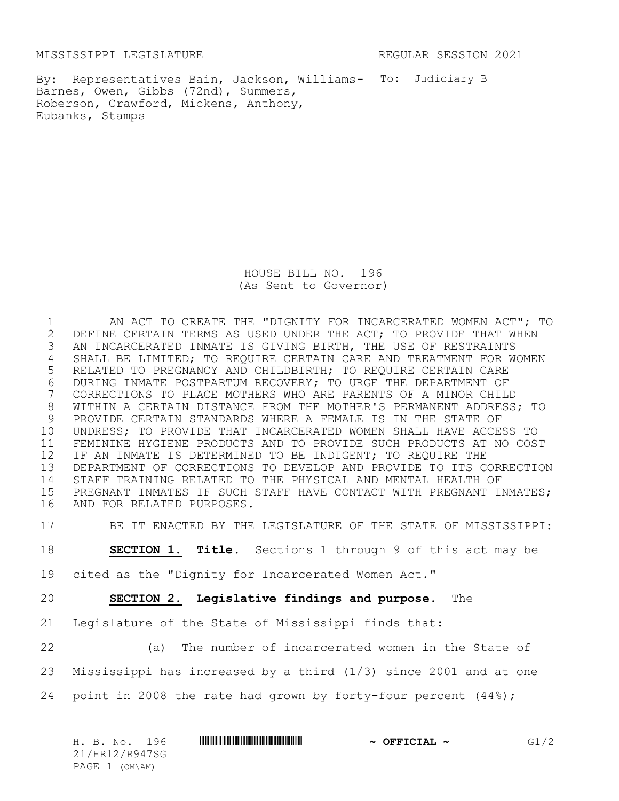MISSISSIPPI LEGISLATURE **REGULAR SESSION 2021** 

By: Representatives Bain, Jackson, Williams- To: Judiciary B Barnes, Owen, Gibbs (72nd), Summers, Roberson, Crawford, Mickens, Anthony, Eubanks, Stamps

> HOUSE BILL NO. 196 (As Sent to Governor)

 AN ACT TO CREATE THE "DIGNITY FOR INCARCERATED WOMEN ACT"; TO 2 DEFINE CERTAIN TERMS AS USED UNDER THE ACT; TO PROVIDE THAT WHEN<br>3 AN INCARCERATED INMATE IS GIVING BIRTH, THE USE OF RESTRAINTS AN INCARCERATED INMATE IS GIVING BIRTH, THE USE OF RESTRAINTS SHALL BE LIMITED; TO REQUIRE CERTAIN CARE AND TREATMENT FOR WOMEN RELATED TO PREGNANCY AND CHILDBIRTH; TO REQUIRE CERTAIN CARE 6 DURING INMATE POSTPARTUM RECOVERY; TO URGE THE DEPARTMENT OF<br>7 CORRECTIONS TO PLACE MOTHERS WHO ARE PARENTS OF A MINOR CHILI CORRECTIONS TO PLACE MOTHERS WHO ARE PARENTS OF A MINOR CHILD WITHIN A CERTAIN DISTANCE FROM THE MOTHER'S PERMANENT ADDRESS; TO PROVIDE CERTAIN STANDARDS WHERE A FEMALE IS IN THE STATE OF UNDRESS; TO PROVIDE THAT INCARCERATED WOMEN SHALL HAVE ACCESS TO FEMININE HYGIENE PRODUCTS AND TO PROVIDE SUCH PRODUCTS AT NO COST 12 IF AN INMATE IS DETERMINED TO BE INDIGENT; TO REQUIRE THE DEPARTMENT OF CORRECTIONS TO DEVELOP AND PROVIDE TO ITS CORRECTION STAFF TRAINING RELATED TO THE PHYSICAL AND MENTAL HEALTH OF PREGNANT INMATES IF SUCH STAFF HAVE CONTACT WITH PREGNANT INMATES; AND FOR RELATED PURPOSES.

BE IT ENACTED BY THE LEGISLATURE OF THE STATE OF MISSISSIPPI:

**SECTION 1. Title.** Sections 1 through 9 of this act may be

cited as the "Dignity for Incarcerated Women Act."

**SECTION 2. Legislative findings and purpose**. The

Legislature of the State of Mississippi finds that:

(a) The number of incarcerated women in the State of

Mississippi has increased by a third (1/3) since 2001 and at one

point in 2008 the rate had grown by forty-four percent (44%);

| H. B. No.<br>96  | $\sim$ OFFICIAL<br>$\tilde{\phantom{a}}$ |  |
|------------------|------------------------------------------|--|
| 21/HR12/R947SG   |                                          |  |
| PAGE $1$ (OM\AM) |                                          |  |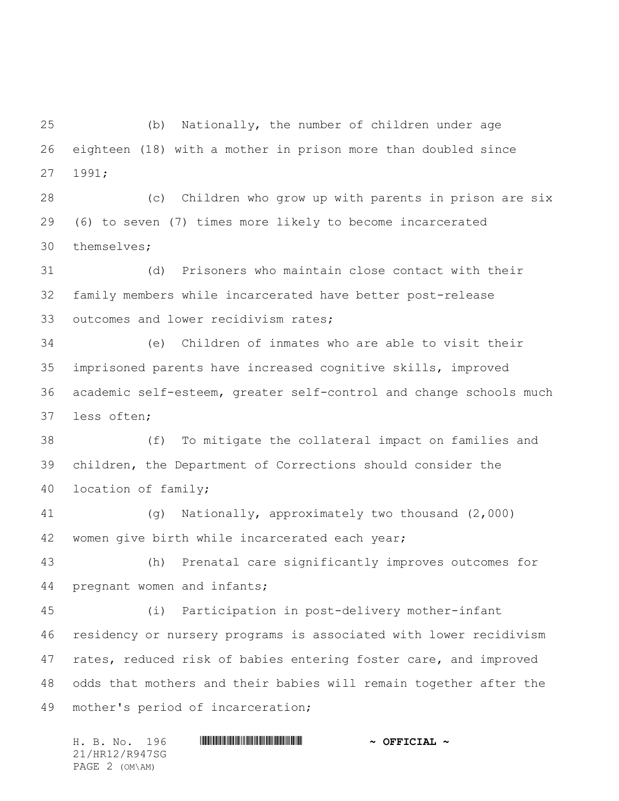(b) Nationally, the number of children under age eighteen (18) with a mother in prison more than doubled since 1991;

 (c) Children who grow up with parents in prison are six (6) to seven (7) times more likely to become incarcerated themselves;

 (d) Prisoners who maintain close contact with their family members while incarcerated have better post-release outcomes and lower recidivism rates;

 (e) Children of inmates who are able to visit their imprisoned parents have increased cognitive skills, improved academic self-esteem, greater self-control and change schools much less often;

 (f) To mitigate the collateral impact on families and children, the Department of Corrections should consider the location of family;

 (g) Nationally, approximately two thousand (2,000) 42 women give birth while incarcerated each year;

 (h) Prenatal care significantly improves outcomes for pregnant women and infants;

 (i) Participation in post-delivery mother-infant residency or nursery programs is associated with lower recidivism 47 rates, reduced risk of babies entering foster care, and improved odds that mothers and their babies will remain together after the mother's period of incarceration;

H. B. No. 196 \*HR12/R947SG\* **~ OFFICIAL ~** 21/HR12/R947SG PAGE 2 (OM\AM)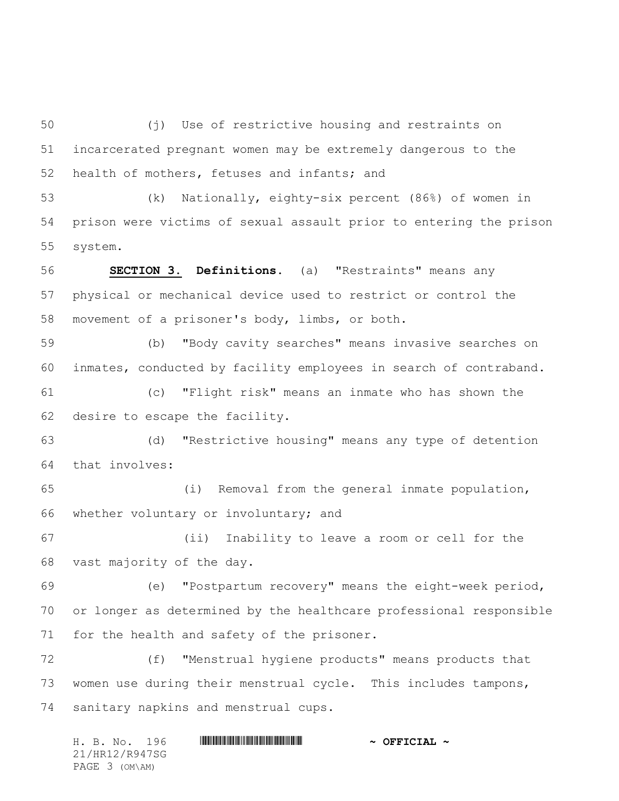(j) Use of restrictive housing and restraints on incarcerated pregnant women may be extremely dangerous to the health of mothers, fetuses and infants; and

 (k) Nationally, eighty-six percent (86%) of women in prison were victims of sexual assault prior to entering the prison system.

 **SECTION 3. Definitions**. (a) "Restraints" means any physical or mechanical device used to restrict or control the movement of a prisoner's body, limbs, or both.

 (b) "Body cavity searches" means invasive searches on inmates, conducted by facility employees in search of contraband.

 (c) "Flight risk" means an inmate who has shown the desire to escape the facility.

 (d) "Restrictive housing" means any type of detention that involves:

 (i) Removal from the general inmate population, whether voluntary or involuntary; and

 (ii) Inability to leave a room or cell for the vast majority of the day.

 (e) "Postpartum recovery" means the eight-week period, or longer as determined by the healthcare professional responsible for the health and safety of the prisoner.

 (f) "Menstrual hygiene products" means products that women use during their menstrual cycle. This includes tampons, sanitary napkins and menstrual cups.

H. B. No. 196 \*HR12/R947SG\* **~ OFFICIAL ~** 21/HR12/R947SG PAGE 3 (OM\AM)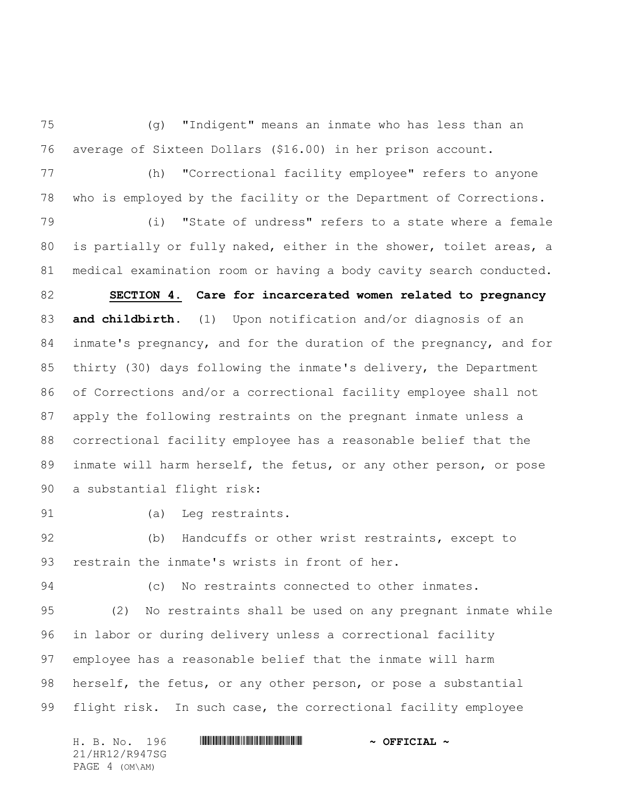(g) "Indigent" means an inmate who has less than an average of Sixteen Dollars (\$16.00) in her prison account.

 (h) "Correctional facility employee" refers to anyone who is employed by the facility or the Department of Corrections.

 (i) "State of undress" refers to a state where a female is partially or fully naked, either in the shower, toilet areas, a medical examination room or having a body cavity search conducted.

 **SECTION 4. Care for incarcerated women related to pregnancy and childbirth**. (1) Upon notification and/or diagnosis of an inmate's pregnancy, and for the duration of the pregnancy, and for thirty (30) days following the inmate's delivery, the Department of Corrections and/or a correctional facility employee shall not apply the following restraints on the pregnant inmate unless a correctional facility employee has a reasonable belief that the inmate will harm herself, the fetus, or any other person, or pose a substantial flight risk:

(a) Leg restraints.

 (b) Handcuffs or other wrist restraints, except to restrain the inmate's wrists in front of her.

(c) No restraints connected to other inmates.

 (2) No restraints shall be used on any pregnant inmate while in labor or during delivery unless a correctional facility employee has a reasonable belief that the inmate will harm 98 herself, the fetus, or any other person, or pose a substantial flight risk. In such case, the correctional facility employee

H. B. No. 196 \*HR12/R947SG\* **~ OFFICIAL ~** 21/HR12/R947SG PAGE 4 (OM\AM)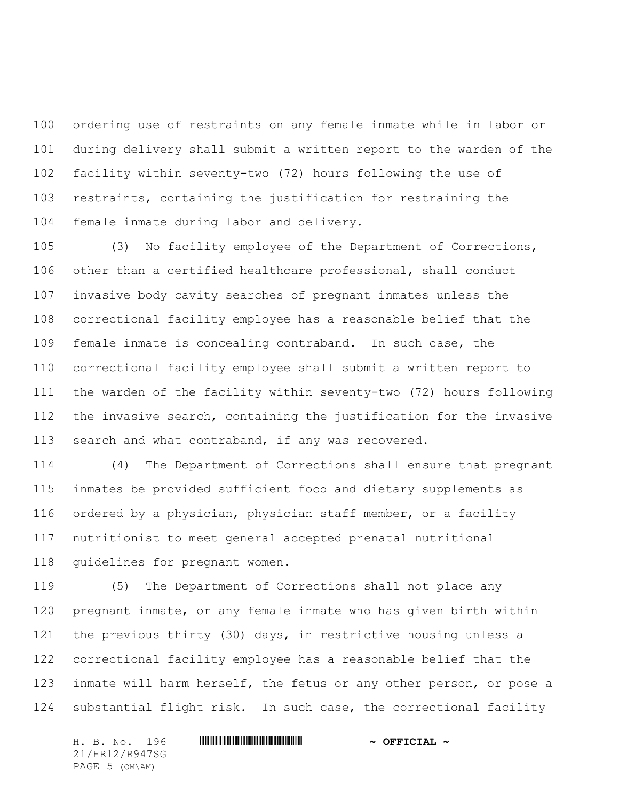ordering use of restraints on any female inmate while in labor or during delivery shall submit a written report to the warden of the facility within seventy-two (72) hours following the use of restraints, containing the justification for restraining the female inmate during labor and delivery.

 (3) No facility employee of the Department of Corrections, other than a certified healthcare professional, shall conduct invasive body cavity searches of pregnant inmates unless the correctional facility employee has a reasonable belief that the female inmate is concealing contraband. In such case, the correctional facility employee shall submit a written report to the warden of the facility within seventy-two (72) hours following the invasive search, containing the justification for the invasive search and what contraband, if any was recovered.

 (4) The Department of Corrections shall ensure that pregnant inmates be provided sufficient food and dietary supplements as ordered by a physician, physician staff member, or a facility nutritionist to meet general accepted prenatal nutritional guidelines for pregnant women.

 (5) The Department of Corrections shall not place any pregnant inmate, or any female inmate who has given birth within the previous thirty (30) days, in restrictive housing unless a correctional facility employee has a reasonable belief that the inmate will harm herself, the fetus or any other person, or pose a substantial flight risk. In such case, the correctional facility

21/HR12/R947SG PAGE 5 (OM\AM)

## H. B. No. 196 \*HR12/R947SG\* **~ OFFICIAL ~**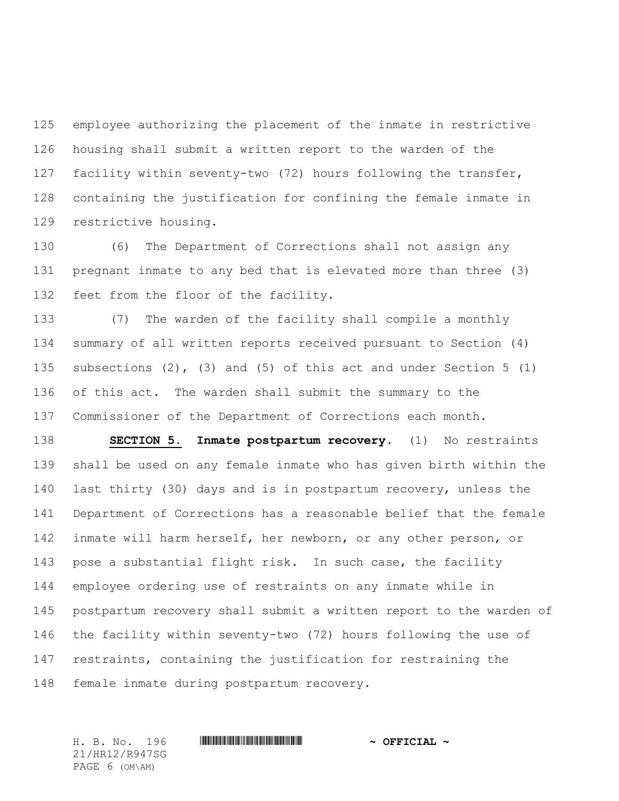employee authorizing the placement of the inmate in restrictive housing shall submit a written report to the warden of the facility within seventy-two (72) hours following the transfer, containing the justification for confining the female inmate in restrictive housing.

 (6) The Department of Corrections shall not assign any pregnant inmate to any bed that is elevated more than three (3) feet from the floor of the facility.

 (7) The warden of the facility shall compile a monthly summary of all written reports received pursuant to Section (4) subsections (2), (3) and (5) of this act and under Section 5 (1) of this act. The warden shall submit the summary to the Commissioner of the Department of Corrections each month.

 **SECTION 5. Inmate postpartum recovery**. (1) No restraints shall be used on any female inmate who has given birth within the last thirty (30) days and is in postpartum recovery, unless the Department of Corrections has a reasonable belief that the female inmate will harm herself, her newborn, or any other person, or pose a substantial flight risk. In such case, the facility employee ordering use of restraints on any inmate while in postpartum recovery shall submit a written report to the warden of the facility within seventy-two (72) hours following the use of restraints, containing the justification for restraining the female inmate during postpartum recovery.

21/HR12/R947SG PAGE 6 (OM\AM)

## H. B. No. 196 \*HR12/R947SG\* **~ OFFICIAL ~**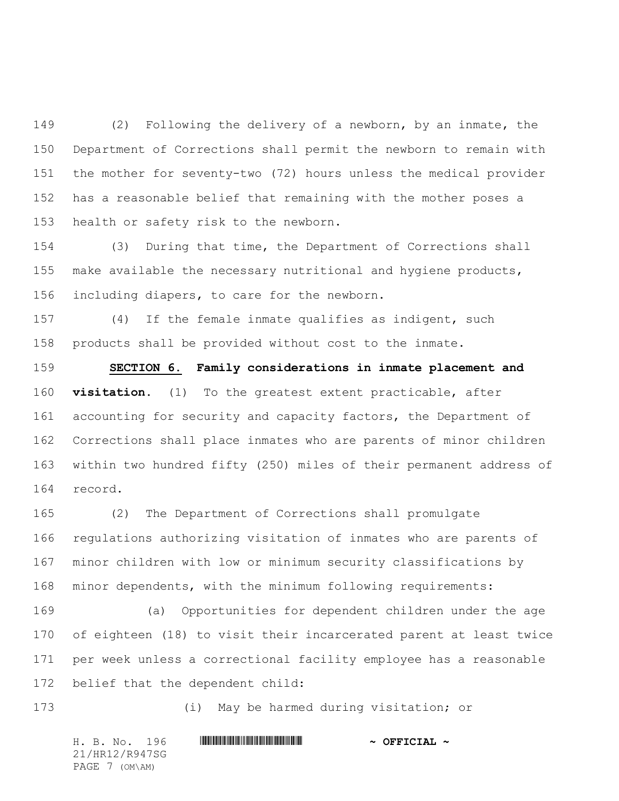(2) Following the delivery of a newborn, by an inmate, the Department of Corrections shall permit the newborn to remain with the mother for seventy-two (72) hours unless the medical provider has a reasonable belief that remaining with the mother poses a health or safety risk to the newborn.

 (3) During that time, the Department of Corrections shall make available the necessary nutritional and hygiene products, including diapers, to care for the newborn.

 (4) If the female inmate qualifies as indigent, such products shall be provided without cost to the inmate.

 **SECTION 6. Family considerations in inmate placement and visitation**. (1) To the greatest extent practicable, after accounting for security and capacity factors, the Department of Corrections shall place inmates who are parents of minor children within two hundred fifty (250) miles of their permanent address of record.

 (2) The Department of Corrections shall promulgate regulations authorizing visitation of inmates who are parents of minor children with low or minimum security classifications by minor dependents, with the minimum following requirements:

 (a) Opportunities for dependent children under the age of eighteen (18) to visit their incarcerated parent at least twice per week unless a correctional facility employee has a reasonable belief that the dependent child:

(i) May be harmed during visitation; or

H. B. No. 196 \*HR12/R947SG\* **~ OFFICIAL ~** 21/HR12/R947SG PAGE 7 (OM\AM)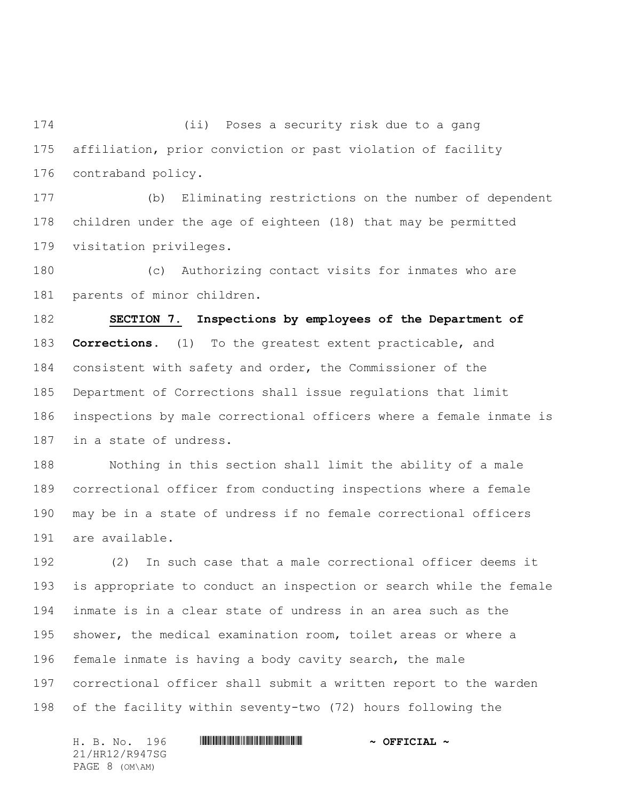(ii) Poses a security risk due to a gang affiliation, prior conviction or past violation of facility contraband policy.

 (b) Eliminating restrictions on the number of dependent children under the age of eighteen (18) that may be permitted visitation privileges.

 (c) Authorizing contact visits for inmates who are parents of minor children.

 **SECTION 7. Inspections by employees of the Department of Corrections**. (1) To the greatest extent practicable, and consistent with safety and order, the Commissioner of the Department of Corrections shall issue regulations that limit inspections by male correctional officers where a female inmate is in a state of undress.

 Nothing in this section shall limit the ability of a male correctional officer from conducting inspections where a female may be in a state of undress if no female correctional officers are available.

 (2) In such case that a male correctional officer deems it is appropriate to conduct an inspection or search while the female inmate is in a clear state of undress in an area such as the shower, the medical examination room, toilet areas or where a female inmate is having a body cavity search, the male correctional officer shall submit a written report to the warden of the facility within seventy-two (72) hours following the

H. B. No. 196 \*HR12/R947SG\* **~ OFFICIAL ~** 21/HR12/R947SG PAGE 8 (OM\AM)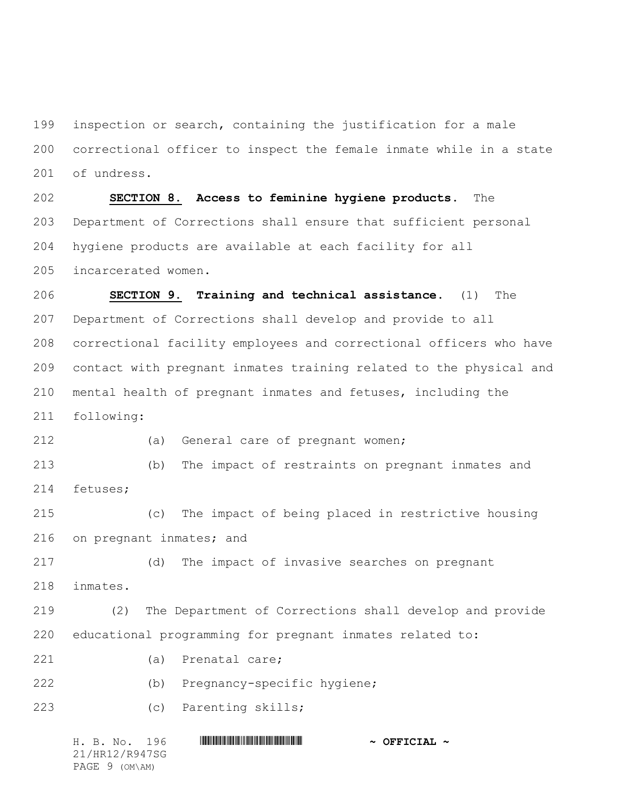inspection or search, containing the justification for a male correctional officer to inspect the female inmate while in a state of undress.

 **SECTION 8. Access to feminine hygiene products**. The Department of Corrections shall ensure that sufficient personal hygiene products are available at each facility for all incarcerated women.

 **SECTION 9. Training and technical assistance**. (1) The Department of Corrections shall develop and provide to all correctional facility employees and correctional officers who have contact with pregnant inmates training related to the physical and mental health of pregnant inmates and fetuses, including the following:

(a) General care of pregnant women;

 (b) The impact of restraints on pregnant inmates and fetuses;

 (c) The impact of being placed in restrictive housing on pregnant inmates; and

(d) The impact of invasive searches on pregnant

inmates.

 (2) The Department of Corrections shall develop and provide educational programming for pregnant inmates related to:

- (a) Prenatal care;
- (b) Pregnancy-specific hygiene;
- (c) Parenting skills;

| H. B. No. 196  | $\sim$ OFFICIAL $\sim$ |
|----------------|------------------------|
| 21/HR12/R947SG |                        |
| PAGE 9 (OM\AM) |                        |